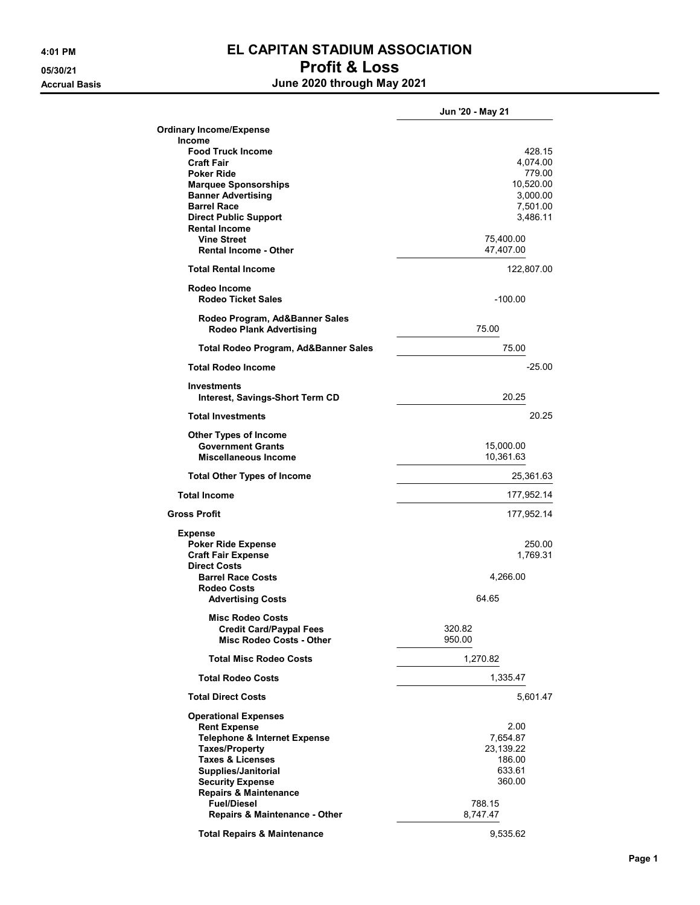## 4:01 PM **EL CAPITAN STADIUM ASSOCIATION** 05/30/21 Profit & Loss Accrual Basis **Accrual Basis June 2020 through May 2021**

|                                                                  | Jun '20 - May 21      |
|------------------------------------------------------------------|-----------------------|
| <b>Ordinary Income/Expense</b>                                   |                       |
| Income                                                           |                       |
| <b>Food Truck Income</b>                                         | 428.15                |
| <b>Craft Fair</b><br><b>Poker Ride</b>                           | 4,074.00<br>779.00    |
| <b>Marquee Sponsorships</b>                                      | 10,520.00             |
| <b>Banner Advertising</b>                                        | 3,000.00              |
| <b>Barrel Race</b>                                               | 7,501.00              |
| <b>Direct Public Support</b>                                     | 3,486.11              |
| <b>Rental Income</b>                                             |                       |
| <b>Vine Street</b>                                               | 75,400.00             |
| <b>Rental Income - Other</b>                                     | 47,407.00             |
| <b>Total Rental Income</b>                                       | 122,807.00            |
| Rodeo Income                                                     |                       |
| <b>Rodeo Ticket Sales</b>                                        | $-100.00$             |
| Rodeo Program, Ad&Banner Sales<br><b>Rodeo Plank Advertising</b> | 75.00                 |
| Total Rodeo Program, Ad&Banner Sales                             | 75.00                 |
| <b>Total Rodeo Income</b>                                        | $-25.00$              |
|                                                                  |                       |
| <b>Investments</b><br>Interest, Savings-Short Term CD            | 20.25                 |
| <b>Total Investments</b>                                         | 20.25                 |
| <b>Other Types of Income</b>                                     |                       |
| <b>Government Grants</b>                                         | 15,000.00             |
| Miscellaneous Income                                             | 10,361.63             |
| <b>Total Other Types of Income</b>                               | 25,361.63             |
| <b>Total Income</b>                                              | 177,952.14            |
| <b>Gross Profit</b>                                              | 177,952.14            |
| <b>Expense</b>                                                   |                       |
| <b>Poker Ride Expense</b>                                        | 250.00                |
| <b>Craft Fair Expense</b>                                        | 1,769.31              |
| <b>Direct Costs</b>                                              |                       |
| <b>Barrel Race Costs</b>                                         | 4,266.00              |
| Rodeo Costs                                                      |                       |
| <b>Advertising Costs</b>                                         | 64.65                 |
| <b>Misc Rodeo Costs</b>                                          |                       |
| <b>Credit Card/Paypal Fees</b>                                   | 320.82                |
| <b>Misc Rodeo Costs - Other</b>                                  | 950.00                |
| <b>Total Misc Rodeo Costs</b>                                    | 1,270.82              |
| <b>Total Rodeo Costs</b>                                         | 1,335.47              |
| <b>Total Direct Costs</b>                                        | 5,601.47              |
| <b>Operational Expenses</b>                                      |                       |
| <b>Rent Expense</b>                                              | 2.00                  |
| Telephone & Internet Expense<br><b>Taxes/Property</b>            | 7,654.87<br>23,139.22 |
| <b>Taxes &amp; Licenses</b>                                      | 186.00                |
| Supplies/Janitorial                                              | 633.61                |
| <b>Security Expense</b>                                          | 360.00                |
| <b>Repairs &amp; Maintenance</b>                                 |                       |
| <b>Fuel/Diesel</b>                                               | 788.15                |
| <b>Repairs &amp; Maintenance - Other</b>                         | 8,747.47              |
|                                                                  |                       |
| <b>Total Repairs &amp; Maintenance</b>                           | 9,535.62              |